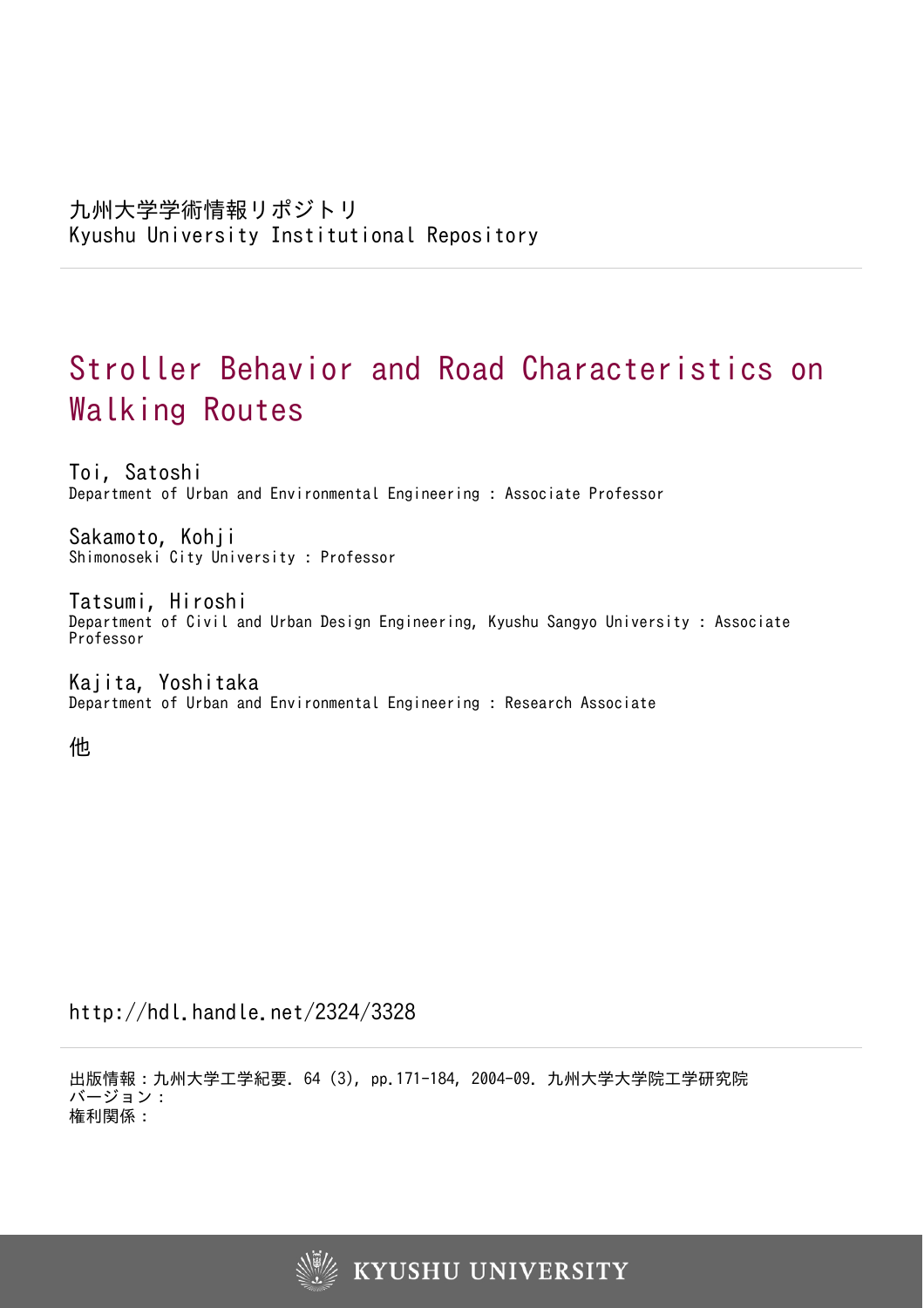# Stroller Behavior and Road Characteristics on Walking Routes

Toi, Satoshi Department of Urban and Environmental Engineering : Associate Professor

Sakamoto, Kohji Shimonoseki City University : Professor

Tatsumi, Hiroshi Department of Civil and Urban Design Engineering, Kyushu Sangyo University : Associate Professor

Kajita, Yoshitaka Department of Urban and Environmental Engineering : Research Associate

他

http://hdl.handle.net/2324/3328

出版情報:九州大学工学紀要. 64 (3), pp.171-184, 2004-09. 九州大学大学院工学研究院 バージョン: 権利関係:

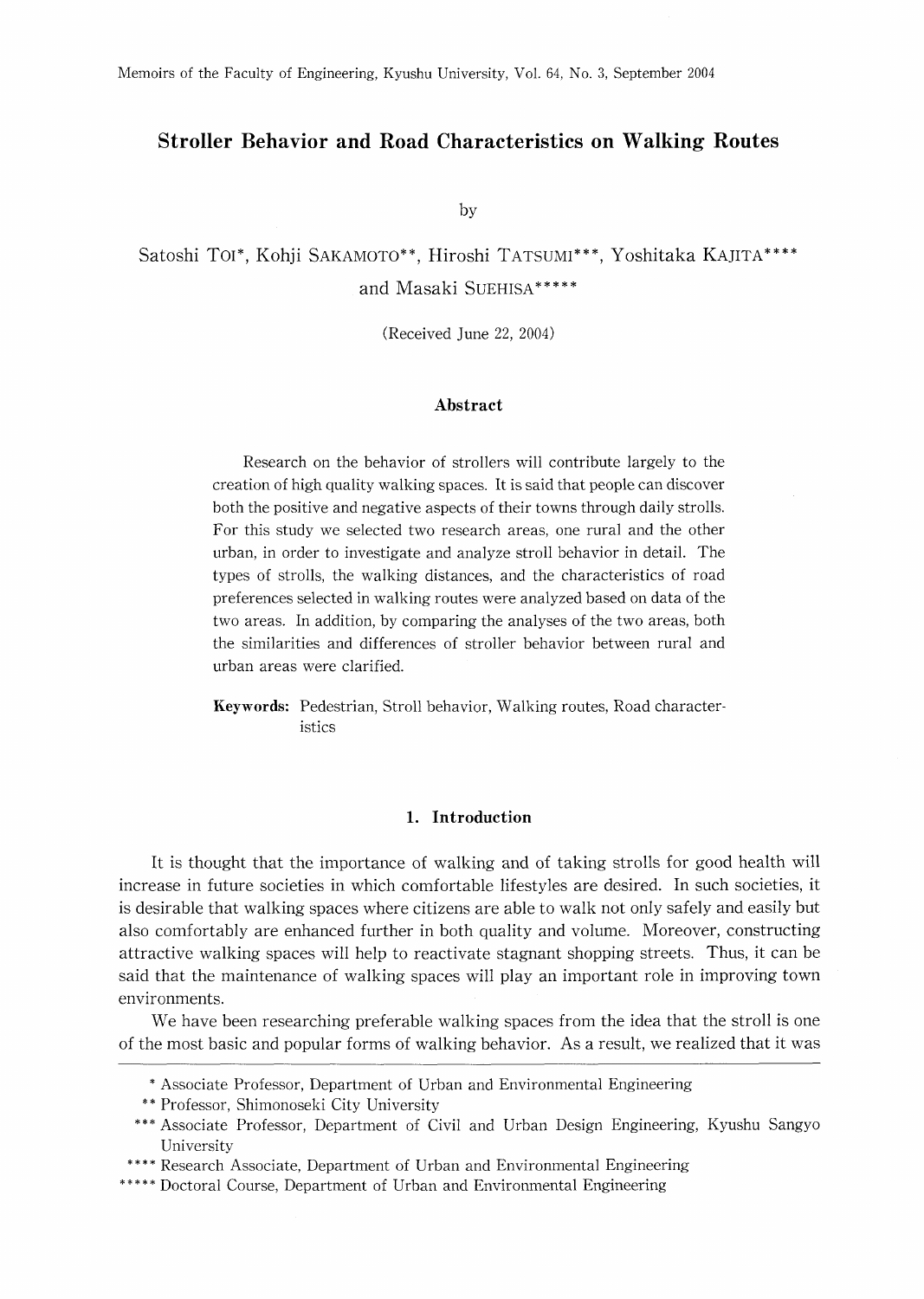## Stroller Behavior and Road Characteristics on Walking Routes

by

Satoshi TOI\*, Kohji SAKAMOTO\*\*, Hiroshi TATSUMI\*\*\*, Yoshitaka KAJITA\*\*\*\* and Masaki SUEHISA\*\*\*\*\*

 $(Received June 22, 2004)$ 

#### Abstract

Research on the behavior of strollers will contribute largely to the creation of high quality walking spaces. It is said that people can discover both the positive and negative aspects of their towns through daily strolls. For this study we selected two research areas, one rural and the other urban, in order to investigate and analyze stroll behavior in detail. The types of strolls, the walking distances, and the characteristics of road preferences selected in walking routes were analyzed based on data of the two areas. In addition, by comparing the analyses of the two areas, both the similarities and differences of stroller behavior between rural and urban areas were clarified.

Keywords: Pedestrian, Stroll behavior, Walking routes, Road characteristics

## 1.Introduction

It is thought that the importance of walking and of taking strolls for good health will increase in future societies in which comfortable lifestyles are desired. In such societies, it is desirable that walking spaces where citizens are able to walk not only safely and easily but also comfortably are enhanced further in both quality and volume. Moreover, constructing attractive walking spaces will help to reactivate stagnant shopping streets. Thus, it can be said that the maintenance of walking spaces will play an important role in improving town environments.

We have been researching preferable walking spaces from the idea that the stroll is one of the most basic and popular forms of walking behavior. As a result, we realized that it was

<sup>\*</sup> Associate Professor, Department of Urban and Environmental Engineering

<sup>\*\*</sup> Professor, Shimonoseki City University

<sup>\*\*\*</sup> Associate Professor, Department of Civil and Urban Design Engineering, Kyushu Sangyo University

<sup>\*\*\*\*</sup> Research Associate, Department of Urban and Environmental Engineering

<sup>\*\*\*\*\*</sup> Doctoral Course, Department of Urban and Environmental Engineering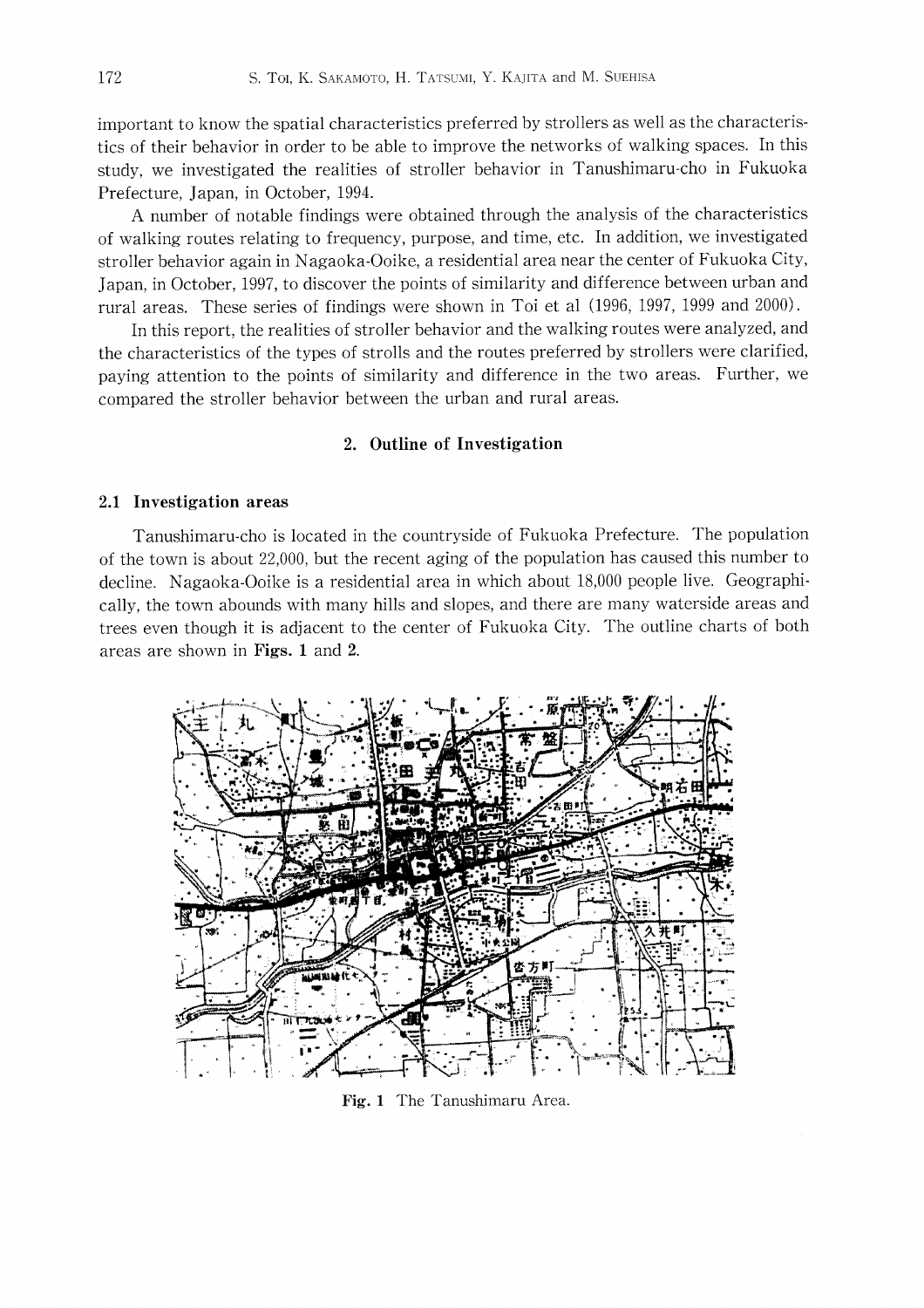important to know the spatial characteristics preferred by strollers as well as the characteristics of their behavior in order to be able to improve the networks of walking spaces. In this study, we investigated the realities of stroller behavior in Tanushimaru-cho in Fukuoka Prefecture, Japan, in October, 1994.

A number of notable findings were obtained through the analysis of the characteristics of walking routes relating to frequency, purpose, and time, etc. In addition, we investigated stroller behavior again in Nagaoka-Ooike, a residential area near the center of Fukuoka City, Japan, in October, 1997, to discover the points of similarity and difference between urban and rural areas. These series of findings were shown in Toi et al (1996, 1997, 1999 and 2000).

In this report, the realities of stroller behavior and the walking routes were analyzed, and the characteristics of the types of strolls and the routes preferred by strollers were clarified, paying attention to the points of similarity and difference in the two areas. Further, we compared the stroller behavior between the urban and rural areas.

#### 2. Outline of Investigation

#### 2.1 Investigation areas

Tanushimaru-cho is located in the countryside of Fukuoka Prefecture. The population of the town is about 22,000, but the recent aging of the population has caused this number to decline. Nagaoka-Ooike is a residential area in which about 18,000 people live. Geographically, the town abounds with many hills and slopes, and there are many waterside areas and trees even though it is adjacent to the center of Fukuoka City. The outline charts of both areas are shown in Figs. 1 and 2.



Fig. 1 The Tanushimaru Area.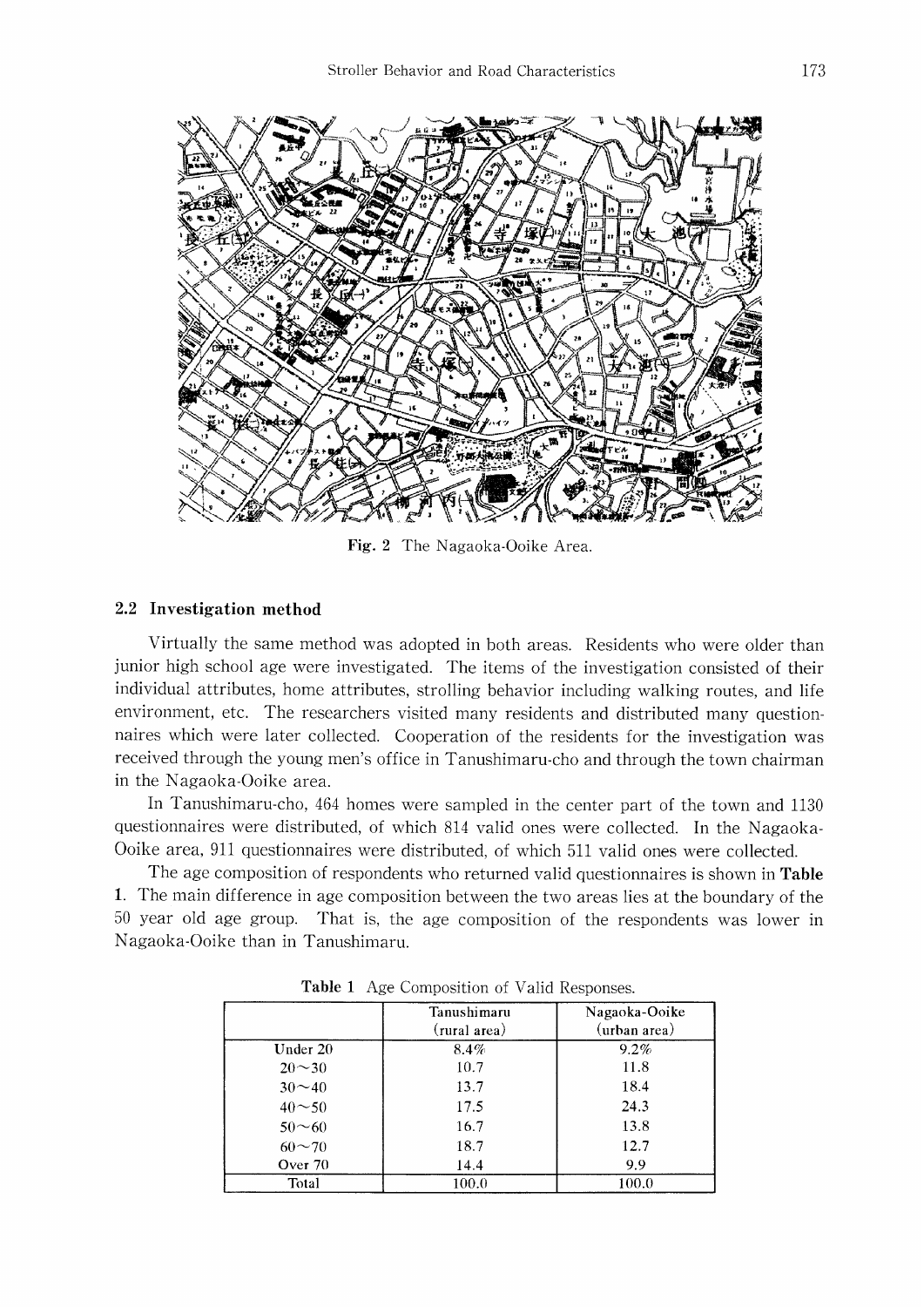

Fig. 2 The Nagaoka-Ooike Area.

## 2.2 Investigation method

Virtually the same method was adopted in both areas. Residents who were older than junior high school age were investigated. The items of the investigation consisted of their individual attributes, home attributes, strolling behavior including walking routes, and life environment, etc. The researchers visited many residents and distributed many questionnaires which were later collected. Cooperation of the residents for the investigation was received through the young men's office in Tanushimaru-cho and through the town chairman in the Nagaoka-Ooike area.

In Tanushimaru-cho, 464 homes were sampled in the center part of the town and 1130 questionnaires were distributed, of which 814 valid ones were collected. In the Nagaoka-Ooike area, 911 questionnaires were distributed, of which 511 valid ones were collected.

The age composition of respondents who returned valid questionnaires is shown in Table 1. The main difference in age composition between the two areas lies at the boundary of the 50 year old age group. That is, the age composition of the respondents was lower in Nagaoka-Ooike than in Tanushimaru.

|               | Tanushimaru<br>(rural area) | Nagaoka-Ooike<br>(urban area) |
|---------------|-----------------------------|-------------------------------|
| Under 20      | 8.4%                        | 9.2%                          |
| $20 \sim 30$  | 10.7                        | 11.8                          |
| $30 - 40$     | 13.7                        | 18.4                          |
| $40^{\sim}50$ | 17.5                        | 24.3                          |
| $50^{\sim}60$ | 16.7                        | 13.8                          |
| $60 - 70$     | 18.7                        | 12.7                          |
| Over 70       | 14.4                        | 9.9                           |
| Total         | 100.0                       | 100.0                         |

Table 1 Age Composition of Valid Responses.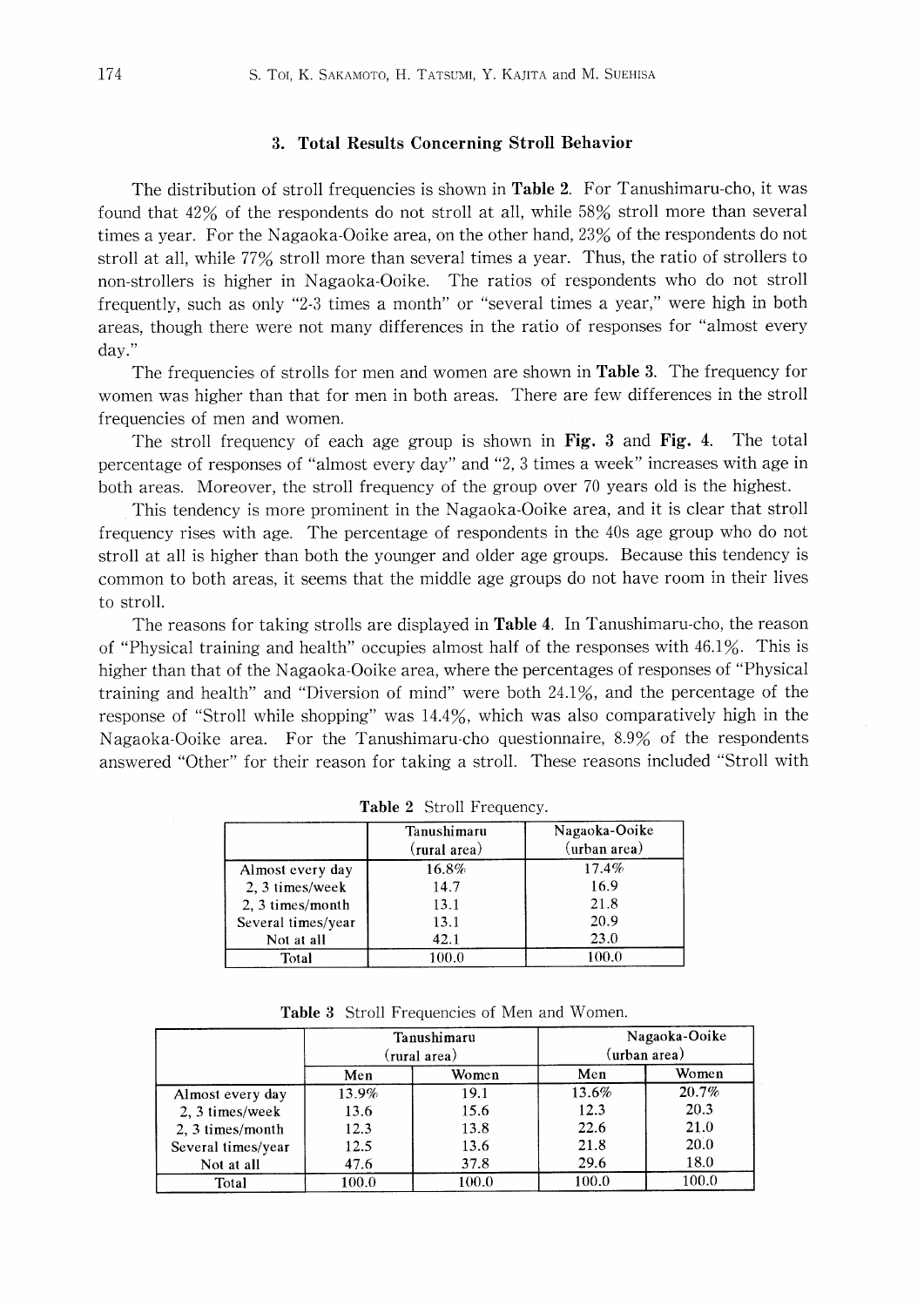#### 3. Total Results Concerning Stroll Behavior

The distribution of stroll frequencies is shown in **Table 2.** For Tanushimaru-cho, it was found that  $42\%$  of the respondents do not stroll at all, while  $58\%$  stroll more than several times a year. For the Nagaoka-Ooike area, on the other hand, 23% of the respondents do not stroll at all, while 77% stroll more than several times a year. Thus, the ratio of strollers to non-strollers is higher in Nagaoka-Ooike. The ratios of respondents who do not stroll frequently, such as only "2-3 times a month" or "several times a year," were high in both areas, though there were not many differences in the ratio of responses for "almost every day."

The frequencies of strolls for men and women are shown in **Table 3**. The frequency for women was higher than that for men in both areas. There are few differences in the stroll frequencies of men and women.

The stroll frequency of each age group is shown in Fig. 3 and Fig. 4. The total percentage of responses of "almost every day" and "2, 3 times a week" increases with age in both areas. Moreover, the stroll frequency of the group over 70 years old is the highest.

This tendency is more prominent in the Nagaoka-Ooike area, and it is clear that stroll frequency rises with age. The percentage of respondents in the 40s age group who do not stroll at all is higher than both the younger and older age groups. Because this tendency is common to both areas, it seems that the middle age groups do not have room in their lives to stroll.

The reasons for taking strolls are displayed in **Table 4.** In Tanushimaru-cho, the reason of "Physical training and health" occupies almost half of the responses with  $46.1\%$ . This is higher than that of the Nagaoka-Ooike area, where the percentages of responses of "Physical training and health" and "Diversion of mind" were both  $24.1\%$ , and the percentage of the response of "Stroll while shopping" was  $14.4\%$ , which was also comparatively high in the Nagaoka-Ooike area. For the Tanushimaru-cho questionnaire, 8.9% of the respondents answered "Other" for their reason for taking a stroll. These reasons included "Stroll with

|                    | <b>Tanushimaru</b><br>(rural area) | Nagaoka-Ooike<br>(urban area) |
|--------------------|------------------------------------|-------------------------------|
| Almost every day   | 16.8%                              | 17.4%                         |
| 2, 3 times/week    | 14.7                               | 16.9                          |
| 2, 3 times/month   | 13.1                               | 21.8                          |
| Several times/year | 13.1                               | 20.9                          |
| Not at all         | 42.1                               | 23.0                          |
| Total              | 100.0                              | 100.0                         |

Table 2 Stroll Frequency.

Table 3 Stroll Frequencies of Men and Women.

|                    |       | Tanushimaru<br>(rural area) | Nagaoka-Ooike<br>(urban area) |       |  |
|--------------------|-------|-----------------------------|-------------------------------|-------|--|
|                    | Men   | Women                       | Men                           | Women |  |
| Almost every day   | 13.9% | 19.1                        | 13.6%                         | 20.7% |  |
| 2, 3 times/week    | 13.6  | 15.6                        | 12.3                          | 20.3  |  |
| 2. 3 times/month   | 12.3  | 13.8                        | 22.6                          | 21.0  |  |
| Several times/year | 12.5  | 13.6                        | 21.8                          | 20.0  |  |
| Not at all         | 47.6  | 37.8                        | 29.6                          | 18.0  |  |
| Total              | 100.0 | 100.0                       | 100.0                         | 100.0 |  |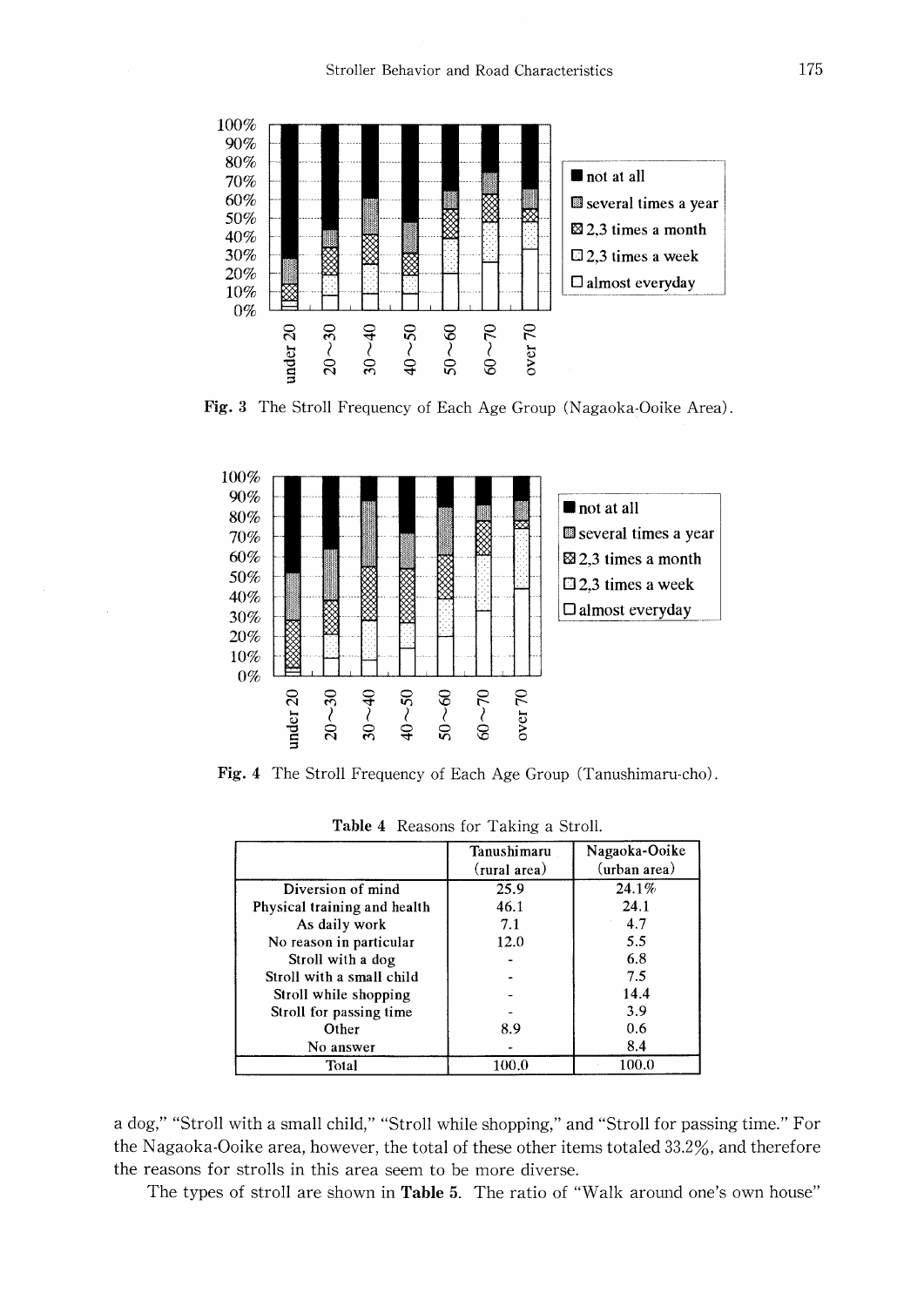

Fig. 3 The Stroll Frequency of Each Age Group (Nagaoka-Ooike Area).



Fig. 4 The Stroll Frequency of Each Age Group (Tanushimaru-cho).

|                              | Tanushimaru<br>(rural area) | Nagaoka-Ooike<br>(urban area) |
|------------------------------|-----------------------------|-------------------------------|
| Diversion of mind            | 25.9                        | 24.1%                         |
| Physical training and health | 46.1                        | 24.1                          |
| As daily work                | 7.1                         | 4.7                           |
| No reason in particular      | 12.0                        | 5.5                           |
| Stroll with a dog            |                             | 6.8                           |
| Stroll with a small child    |                             | 7.5                           |
| Stroll while shopping        |                             | 14.4                          |
| Stroll for passing time      |                             | 3.9                           |
| Other                        | 8.9                         | 0.6                           |
| No answer                    |                             | 8.4                           |
| Total                        | 100.0                       | 100.0                         |

Table 4 Reasons for Taking a Stroll.

a dog," "Stroll with a small child," "Stroll while shopping," and "Stroll for passing time." For the Nagaoka-Ooike area, however, the total of these other items totaled 33.2%, and therefore the reasons for strolls in this area seem to be more diverse.

The types of stroll are shown in Table 5. The ratio of "Walk around one's own house"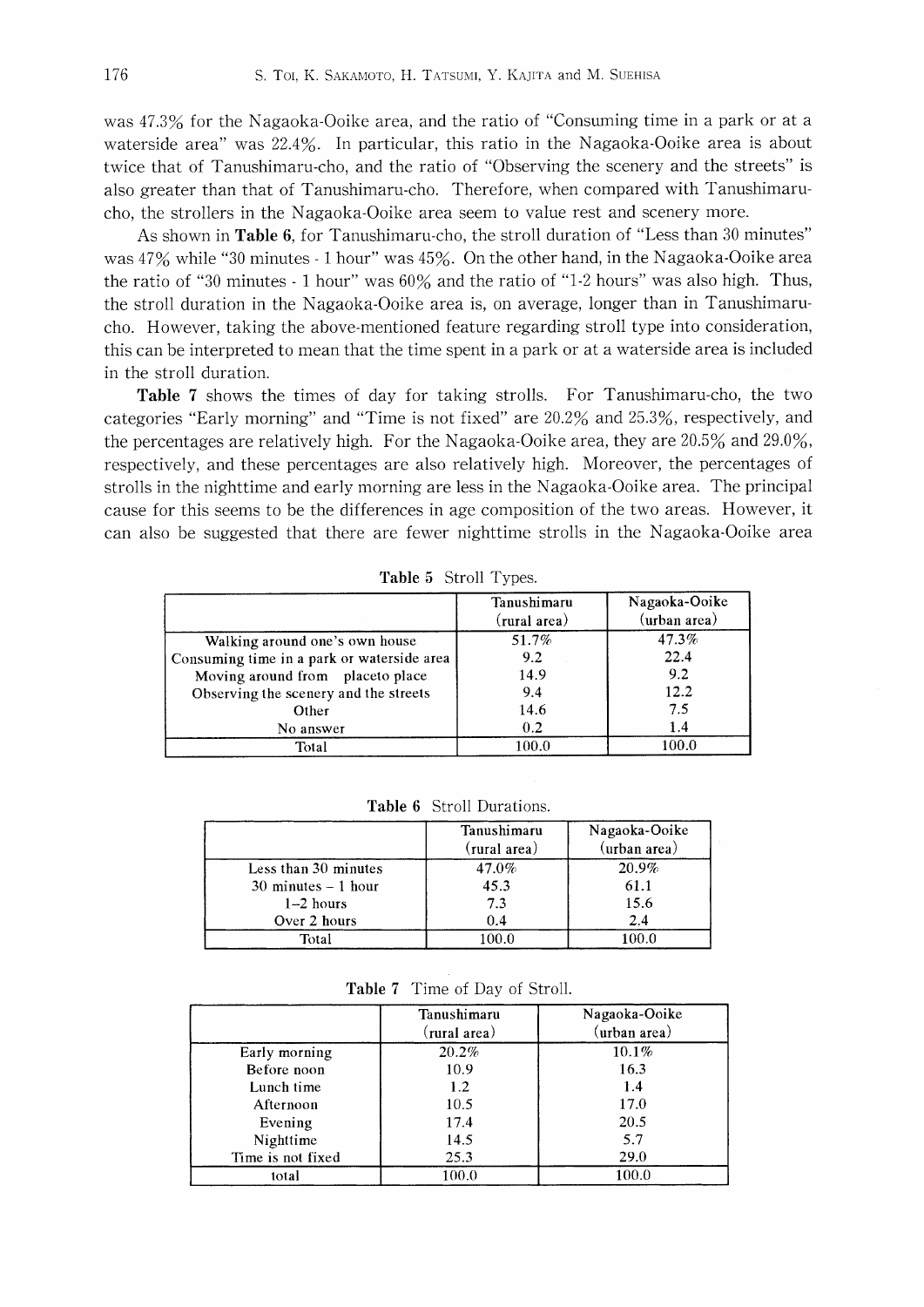was 47.3% for the Nagaoka-Ooike area, and the ratio of "Consuming time in a park or at a waterside area" was 22.4%. In particular, this ratio in the Nagaoka-Ooike area is about twice that of Tanushimaru-cho, and the ratio of "Observing the scenery and the streets" is also greater than that of Tanushimaru-cho. Therefore, when compared with Tanushimarucho, the strollers in the Nagaoka-Ooike area seem to value rest and scenery more.

As shown in Table 6, for Tanushimaru-cho, the stroll duration of "Less than 30 minutes" was  $47\%$  while "30 minutes - 1 hour" was  $45\%$ . On the other hand, in the Nagaoka-Ooike area the ratio of "30 minutes  $-1$  hour" was  $60\%$  and the ratio of "1-2 hours" was also high. Thus, the stroll duration in the Nagaoka-Ooike area is, on average, longer than in Tanushimarucho. However, taking the above-mentioned feature regarding stroll type into consideration, this can be interpreted to mean that the time spent in a park or at a waterside area is included in the stroll duration.

**Table 7** shows the times of day for taking strolls. For Tanushimaru-cho, the two categories "Early morning" and "Time is not fixed" are  $20.2\%$  and  $25.3\%$ , respectively, and the percentages are relatively high. For the Nagaoka-Ooike area, they are  $20.5\%$  and  $29.0\%$ , respectively, and these percentages are also relatively high. Moreover, the percentages of strolls in the nighttime and early morning are less in the Nagaoka-Ooike area. The principal cause for this seems to be the differences in age composition of the two areas. However, it can also be suggested that there are fewer nighttime strolls in the Nagaoka-Ooike area

|                                            | Tanushimaru<br>(rural area) | Nagaoka-Ooike<br>(urban area) |
|--------------------------------------------|-----------------------------|-------------------------------|
| Walking around one's own house             | 51.7%                       | 47.3%                         |
| Consuming time in a park or waterside area | 9.2                         | 22.4                          |
| Moving around from placeto place           | 14.9                        | 9.2                           |
| Observing the scenery and the streets      | 9.4                         | 12.2                          |
| Other                                      | 14.6                        | 7.5                           |
| No answer                                  | 0.2                         | 1.4                           |
| Total                                      | 100.0                       | 100.0                         |

Table 5 Stroll Types.

|                        | Tanushimaru  | Nagaoka-Ooike |
|------------------------|--------------|---------------|
|                        | (rural area) | (urban area)  |
| Less than 30 minutes   | 47.0%        | 20.9%         |
| $30$ minutes $-1$ hour | 45.3         | 61.1          |
| $1-2$ hours            | 7.3          | 15.6          |
| Over 2 hours           | 0.4          | 2.4           |
| Total                  | <u>ስስ በ</u>  | 100 A         |

Table 6 Stroll Durations.

Table 7 Time of Day of Stroll.

|                   | Tanushimaru<br>(rural area) | Nagaoka-Ooike<br>(urban area) |
|-------------------|-----------------------------|-------------------------------|
| Early morning     | 20.2%                       | 10.1%                         |
| Before noon       | 10.9                        | 16.3                          |
| Lunch time        | 1.2                         | 1.4                           |
| Afternoon         | 10.5                        | 17.0                          |
| Evening           | 17.4                        | 20.5                          |
| Nighttime         | 14.5                        | 5.7                           |
| Time is not fixed | 25.3                        | 29.0                          |
| total             | 100.0                       | 100.0                         |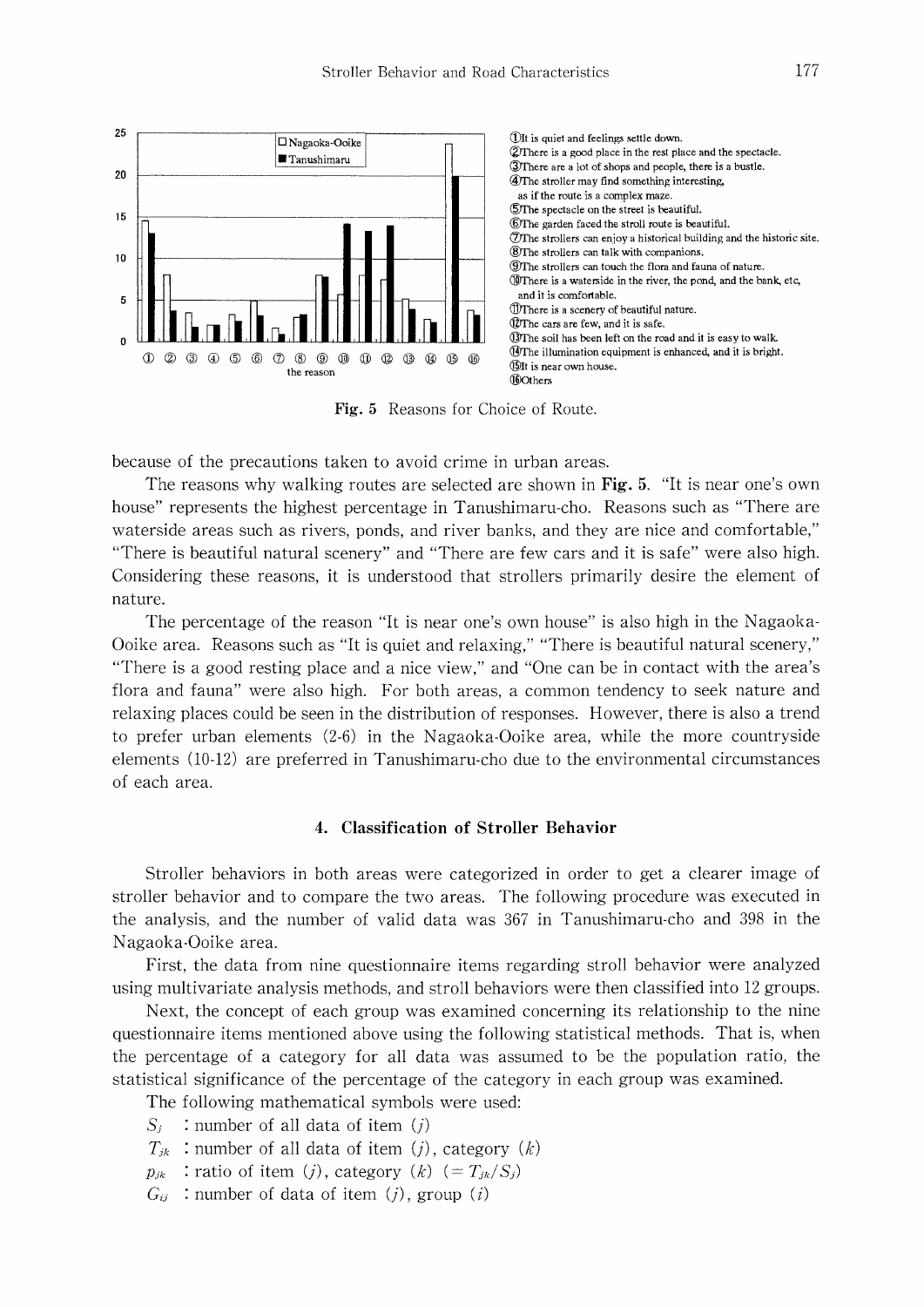

Fig. 5 Reasons for Choice of Route.

because of the precautions taken to avoid crime in urban areas.

The reasons why walking routes are selected are shown in Fig. 5. "It is near one's own house" represents the highest percentage in Tanushimaru-cho. Reasons such as "There are waterside areas such as rivers, ponds, and river banks, and they are nice and comfortable," "There is beautiful natural scenery" and "There are few cars and it is safe" were also high. Considering these reasons, it is understood that strollers primarily desire the element of nature.

The percentage of the reason "It is near one's own house" is also high in the Nagaoka-Ooike area. Reasons such as "It is quiet and relaxing," "There is beautiful natural scenery," "There is a good resting place and a nice view," and "One can be in contact with the area's flora and fauna" were also high. For both areas, a common tendency to seek nature and relaxing places could be seen in the distribution of responses. However, there is also a trend to prefer urban elements (2-6) in the Nagaoka-Ooike area, while the more countryside elements (10-12) are preferred in Tanushimaru-cho due to the environmental circumstances of each area.

#### 4. Classification of Stroller Behavior

Stroller behaviors in both areas were categorized in order to get a clearer image of stroller behavior and to compare the two areas. The following procedure was executed in the analysis, and the number of valid data was 367 in Tanushimaru-cho and 398 in the Nagaoka-Ooike area.

First, the data from nine questionnaire items regarding stroll behavior were analyzed using multivariate analysis methods, and stroll behaviors were then classified into 12 groups.

Next, the concept of each group was examined concerning its relationship to the nine questionnaire items mentioned above using the following statistical methods. That is, when the percentage of a category for all data was assumed to be the population ratio, the statistical significance of the percentage of the category in each group was examined.

The following mathematical symbols were used:

- : number of all data of item  $(j)$  $S_i$
- $T_{ik}$ : number of all data of item (*i*), category (*k*)
- $p_{jk}$ : ratio of item (j), category (k)  $(=T_{jk}/S_j)$
- $G_{ij}$ : number of data of item (j), group (i)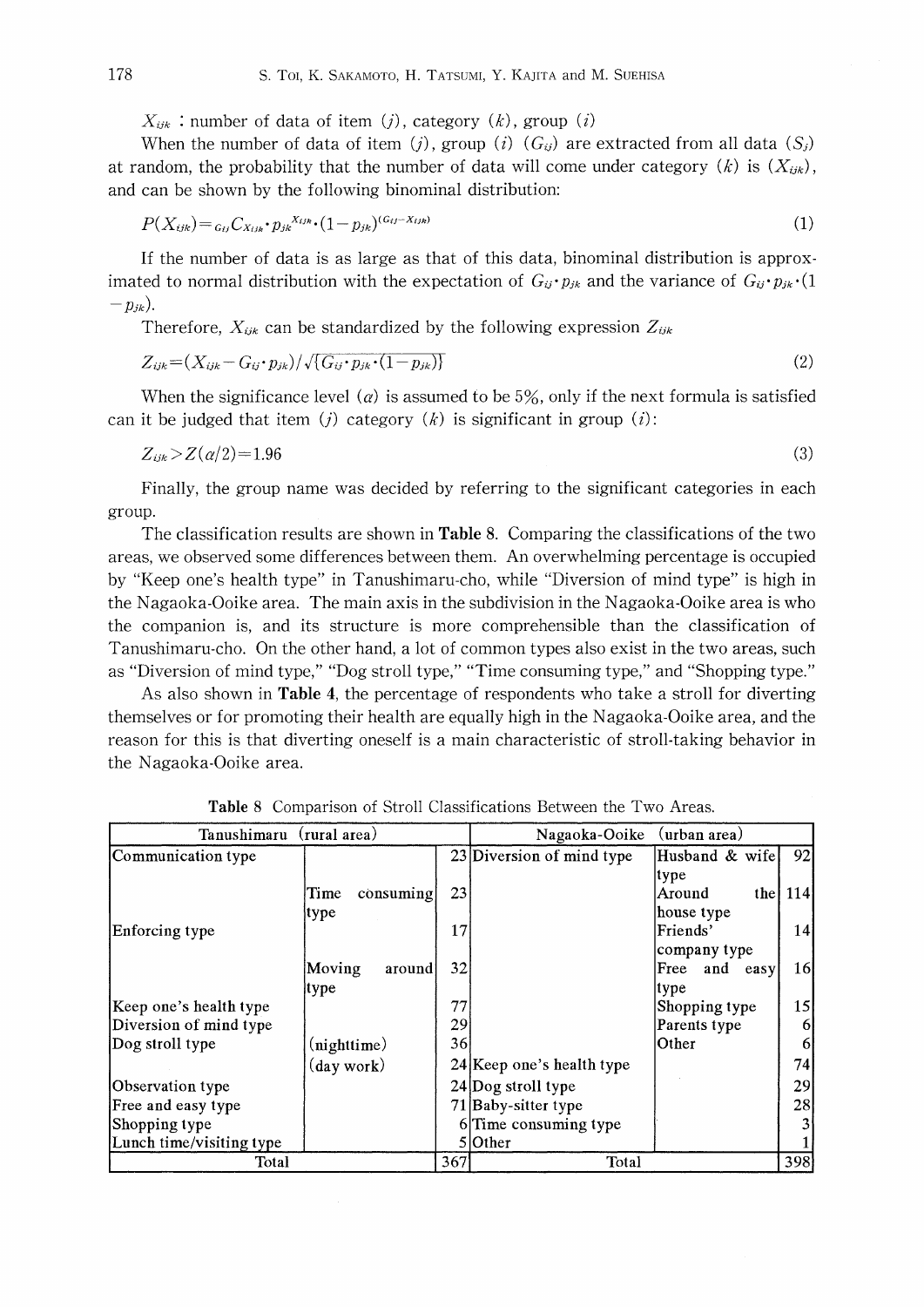$X_{ijk}$ : number of data of item (j), category (k), group (i)

When the number of data of item (*i*), group (*i*) ( $G_{ii}$ ) are extracted from all data ( $S_i$ ) at random, the probability that the number of data will come under category  $(k)$  is  $(X_{ijk})$ , and can be shown by the following binominal distribution:

$$
P(X_{ijk}) = c_{ij} C_{X_{ijk}} \cdot p_{jk}^{X_{ijk}} \cdot (1 - p_{jk})^{(G_{ij} - X_{ijk})}
$$
\n(1)

If the number of data is as large as that of this data, binominal distribution is approximated to normal distribution with the expectation of  $G_{ii} \cdot p_{jk}$  and the variance of  $G_{ii} \cdot p_{jk} \cdot (1$  $-p_{jk}$ ).

Therefore,  $X_{ijk}$  can be standardized by the following expression  $Z_{ijk}$ 

$$
Z_{ijk} = (X_{ijk} - G_{ij} \cdot p_{jk}) / \sqrt{G_{ij} \cdot p_{jk} \cdot (1 - p_{jk})}
$$
 (2)

When the significance level (*a*) is assumed to be 5%, only if the next formula is satisfied can it be judged that item (j) category  $(k)$  is significant in group (i):

 $Z_{ijk}$  >  $Z(\alpha/2)$  = 1.96  $(3)$ 

Finally, the group name was decided by referring to the significant categories in each group.

The classification results are shown in **Table 8.** Comparing the classifications of the two areas, we observed some differences between them. An overwhelming percentage is occupied by "Keep one's health type" in Tanushimaru-cho, while "Diversion of mind type" is high in the Nagaoka-Ooike area. The main axis in the subdivision in the Nagaoka-Ooike area is who the companion is, and its structure is more comprehensible than the classification of Tanushimaru-cho. On the other hand, a lot of common types also exist in the two areas, such as "Diversion of mind type," "Dog stroll type," "Time consuming type," and "Shopping type."

As also shown in Table 4, the percentage of respondents who take a stroll for diverting themselves or for promoting their health are equally high in the Nagaoka-Ooike area, and the reason for this is that diverting oneself is a main characteristic of stroll-taking behavior in the Nagaoka-Ooike area.

| Tanushimaru (rural area) |                           |    | Nagaoka-Ooike             | (urban area)                 |             |
|--------------------------|---------------------------|----|---------------------------|------------------------------|-------------|
| Communication type       |                           |    | 23 Diversion of mind type | Husband & wife               | 92          |
|                          | Time<br>consuming<br>type | 23 |                           | type<br>Around<br>house type | the $ 114 $ |
| Enforcing type           |                           | 17 |                           | Friends'                     | 14          |
|                          |                           |    |                           | company type                 |             |
|                          | Moving<br>around          | 32 |                           | Free<br>and easy             | 16          |
|                          | type)                     |    |                           | type                         |             |
| Keep one's health type   |                           | 77 |                           | Shopping type                | 15          |
| Diversion of mind type   |                           | 29 |                           | Parents type                 | 6           |
| Dog stroll type          | (night time)              | 36 |                           | Other                        | 6           |
|                          | (day work)                |    | 24 Keep one's health type |                              | 74          |
| Observation type         |                           |    | 24 Dog stroll type        |                              | 29          |
| Free and easy type       |                           |    | 71 Baby-sitter type       |                              | 28          |
| Shopping type            |                           |    | 6 Time consuming type     |                              |             |
| Lunch time/visiting type |                           |    | $5$  Other                |                              |             |
| Total                    |                           |    | Total                     |                              | 398         |

Table 8 Comparison of Stroll Classifications Between the Two Areas.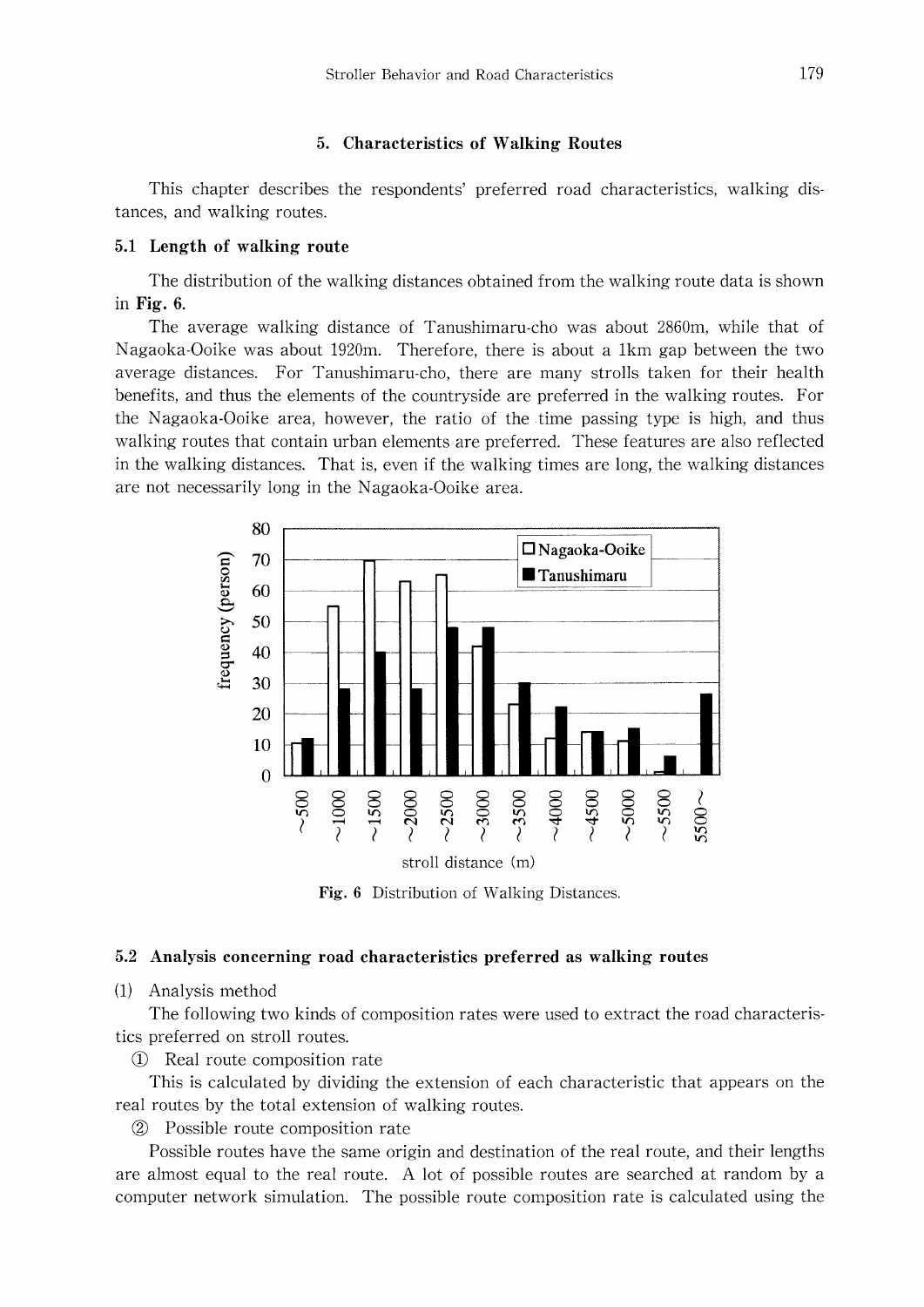## 5. Characteristics of Walking Routes

This chapter describes the respondents' preferred road characteristics, walking distances, and walking routes.

## 5.1 Length of walking route

The distribution of the walking distances obtained from the walking route data is shown in Fig.  $6$ .

The average walking distance of Tanushimaru-cho was about 2860m, while that of Nagaoka-Ooike was about 1920m. Therefore, there is about a 1km gap between the two average distances. For Tanushimaru-cho, there are many strolls taken for their health benefits, and thus the elements of the countryside are preferred in the walking routes. For the Nagaoka-Ooike area, however, the ratio of the time passing type is high, and thus walking routes that contain urban elements are preferred. These features are also reflected in the walking distances. That is, even if the walking times are long, the walking distances



Fig. 6 Distribution of Walking Distances.

#### 5.2 Analysis concerning road characteristics preferred as walking routes

#### (1) Analysis method

The following two kinds of composition rates were used to extract the road characteristics preferred on stroll routes.

**1** Real route composition rate

This is calculated by dividing the extension of each characteristic that appears on the real routes by the total extension of walking routes.

2 Possible route composition rate

Possible routes have the same origin and destination of the real route, and their lengths are almost equal to the real route. A lot of possible routes are searched at random by a computer network simulation. The possible route composition rate is calculated using the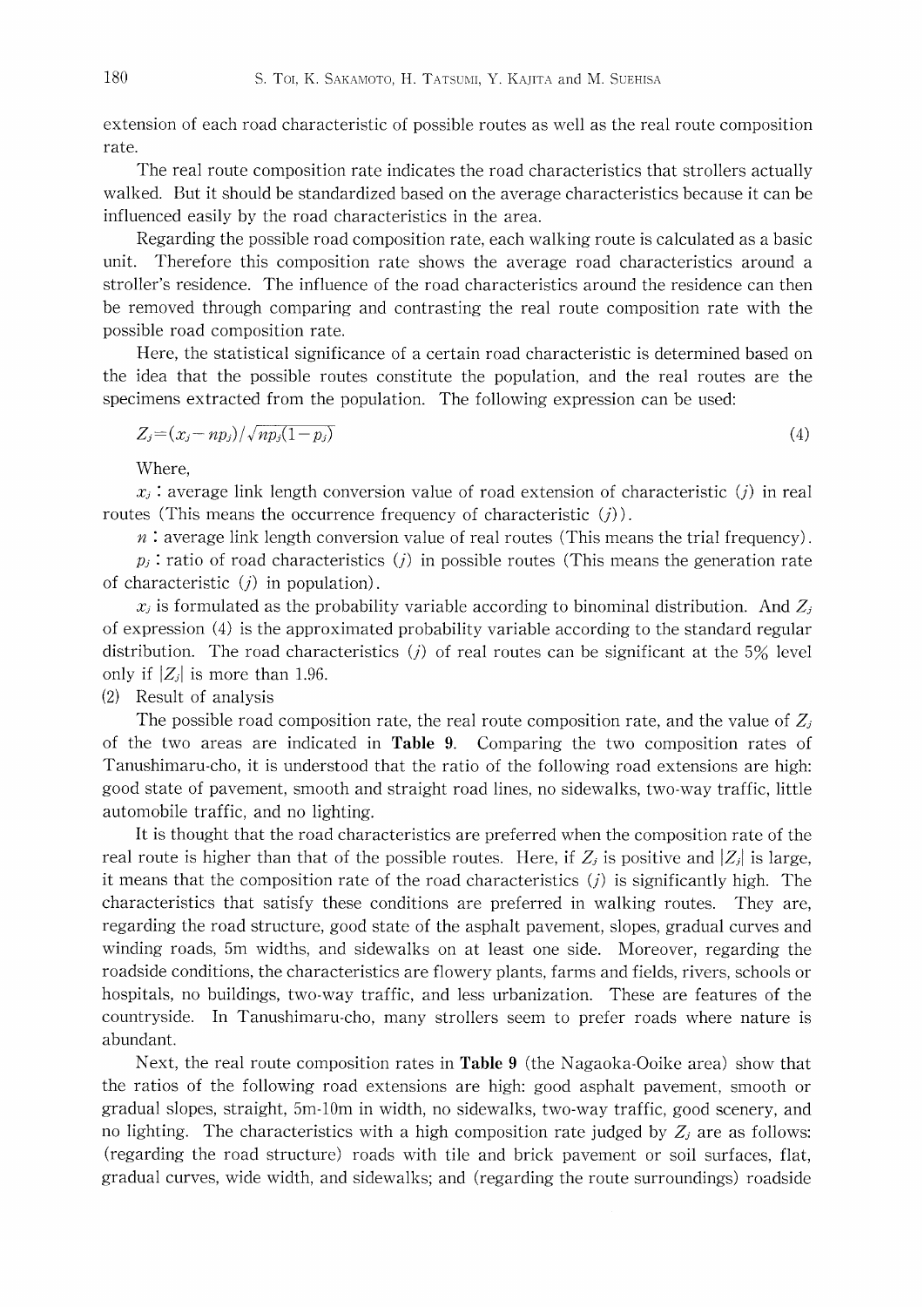extension of each road characteristic of possible routes as well as the real route composition rate.

The real route composition rate indicates the road characteristics that strollers actually walked. But it should be standardized based on the average characteristics because it can be influenced easily by the road characteristics in the area.

Regarding the possible road composition rate, each walking route is calculated as a basic unit. Therefore this composition rate shows the average road characteristics around a stroller's residence. The influence of the road characteristics around the residence can then be removed through comparing and contrasting the real route composition rate with the possible road composition rate.

Here, the statistical significance of a certain road characteristic is determined based on the idea that the possible routes constitute the population, and the real routes are the specimens extracted from the population. The following expression can be used:

$$
Z_j = (x_j - np_j) / \sqrt{np_j(1 - p_j)}\tag{4}
$$

Where,

 $x_i$ : average link length conversion value of road extension of characteristic (j) in real routes (This means the occurrence frequency of characteristic  $(j)$ ).

 $n:$  average link length conversion value of real routes (This means the trial frequency).  $p_j$ : ratio of road characteristics (j) in possible routes (This means the generation rate of characteristic  $(i)$  in population).

 $x_i$  is formulated as the probability variable according to binominal distribution. And  $Z_i$ of expression (4) is the approximated probability variable according to the standard regular distribution. The road characteristics (*j*) of real routes can be significant at the 5% level only if  $|Z_i|$  is more than 1.96.

 $(2)$ Result of analysis

The possible road composition rate, the real route composition rate, and the value of  $Z_i$ of the two areas are indicated in **Table 9.** Comparing the two composition rates of Tanushimaru-cho, it is understood that the ratio of the following road extensions are high: good state of pavement, smooth and straight road lines, no sidewalks, two-way traffic, little automobile traffic, and no lighting.

It is thought that the road characteristics are preferred when the composition rate of the real route is higher than that of the possible routes. Here, if  $Z_i$  is positive and  $|Z_i|$  is large, it means that the composition rate of the road characteristics  $(j)$  is significantly high. The characteristics that satisfy these conditions are preferred in walking routes. They are, regarding the road structure, good state of the asphalt pavement, slopes, gradual curves and winding roads, 5m widths, and sidewalks on at least one side. Moreover, regarding the roadside conditions, the characteristics are flowery plants, farms and fields, rivers, schools or hospitals, no buildings, two-way traffic, and less urbanization. These are features of the countryside. In Tanushimaru-cho, many strollers seem to prefer roads where nature is abundant.

Next, the real route composition rates in Table 9 (the Nagaoka-Ooike area) show that the ratios of the following road extensions are high: good asphalt pavement, smooth or gradual slopes, straight, 5m-10m in width, no sidewalks, two-way traffic, good scenery, and no lighting. The characteristics with a high composition rate judged by  $Z_i$  are as follows: (regarding the road structure) roads with tile and brick pavement or soil surfaces, flat, gradual curves, wide width, and sidewalks; and (regarding the route surroundings) roadside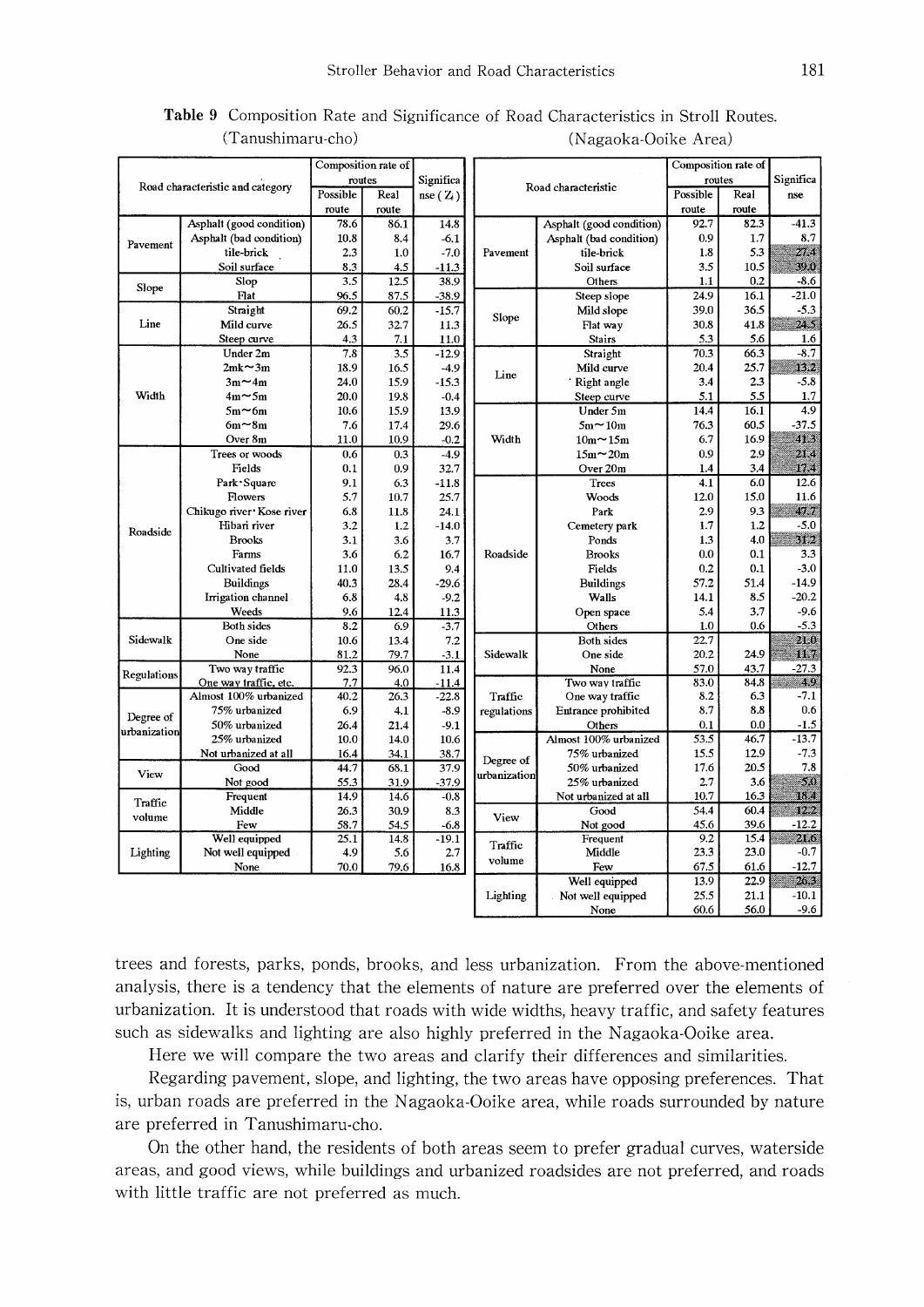|              |                                                | Composition rate of |              |                    |              |                               | Composition rate of |              |                  |
|--------------|------------------------------------------------|---------------------|--------------|--------------------|--------------|-------------------------------|---------------------|--------------|------------------|
|              |                                                | routes              |              | Significa          |              |                               | routes              |              | Significa        |
|              | Road characteristic and category               | Possible            | Real         | nse $(Z_i)$        |              | Road characteristic           | Possible            | Real         | nse              |
|              |                                                | route               | route        |                    |              |                               | route               | route        |                  |
|              | Asphalt (good condition)                       | 78.6                | 86.1         | 14.8               |              | Asphalt (good condition)      | 92.7                | 82.3         | $-41.3$          |
|              | Asphalt (bad condition)                        | 10.8                | 8.4          | $-6.1$             |              | Asphalt (bad condition)       | 0.9                 | 1.7          | 8.7              |
| Pavement     | tile-brick                                     | 2.3                 | 1.0          | $-7.0$             | Pavement     | tile-brick                    | 1.8                 | 5.3          | 27.4             |
|              | Soil surface                                   | 8.3                 | 4.5          | $-11.3$            |              | Soil surface                  | 3.5                 | 10.5         | 39.0             |
|              | Slop                                           | 3.5                 | 12.5         | 38.9               |              | Others                        | 1.1                 | 0.2          | $-8.6$           |
| Slope        | Flat                                           | 96.5                | 87.5         | $-38.9$            |              | Steep slope                   | 24.9                | 16.1         | $-21.0$          |
|              | Straight                                       | 69.2                | 60.2         | $-15.7$            |              | Mild slope                    | 39.0                | 36.5         | $-5.3$           |
| Line         | Mild curve                                     | 26.5                | 32.7         | 11.3               | Slope        | Flat way                      | 30.8                | 41.8         | 24.5             |
|              | Steep curve                                    | 4.3                 | 7.1          | 11.0               |              | <b>Stairs</b>                 | 5.3                 | 5.6          | 1.6              |
|              | Under 2m                                       | 7.8                 | 3.5          | $-12.9$            |              | Straight                      | 70.3                | 66.3         | $-8.7$           |
|              | $2mk - 3m$                                     | 18.9                | 16.5         | $-4.9$             |              | Mild curve                    | 20.4                | 25.7         | 13.2             |
|              | $3m \sim 4m$                                   | 24.0                | 15.9         | $-15.3$            | Line         | Right angle                   | 3.4                 | 2.3          | $-5.8$           |
| Width        | $4m \sim 5m$                                   | 20.0                | 19.8         | $-0.4$             |              | Steep curve                   | 5.1                 | 5.5          | 1.7              |
|              | 5m $\sim$ 6m                                   | 10.6                | 15.9         | 13.9               |              | Under 5m                      | 14.4                | 16.1         | 4.9              |
|              | $6m \sim 8m$                                   | 7.6                 | 17.4         | 29.6               |              | $5m \sim 10m$                 | 76.3                | 60.5         | $-37.5$          |
|              | Over 8m                                        | 11.0                | 10.9         | $-0.2$             | Width        | $10m \sim 15m$                | 6.7                 | 16.9         | 41.3             |
|              | Trees or woods                                 | 0.6                 | 0.3          | $-4.9$             |              | $15m \sim 20m$                | 0.9                 | 2.9          | 21.4             |
|              | Fields                                         | 0.1                 | 0.9          | 32.7               |              | Over 20m                      | 1.4                 | 3.4          | 17.4             |
|              | Park Square                                    | 9.1                 | 6.3          | $-11.8$            |              | <b>Trees</b>                  | 4.1                 | 6.0          | 12.6             |
|              | Flowers                                        | 5.7                 | 10.7         | 25.7               |              | Woods                         | 12.0                | 15.0         | 11.6             |
|              | Chikugo river Kose river                       | 6.8                 | 11.8         | 24.1               |              | Park                          | 2.9                 | 9.3          | 47.7             |
| Roadside     | Hibari river                                   | 3.2                 | 1.2          | $-14.0$            |              | Cemetery park                 | 1.7                 | 1.2          | $-5.0$           |
|              | <b>Brooks</b>                                  | 3.1                 | 3.6          | 3.7                |              | Ponds                         | 1.3                 | 4.0          | 31.2             |
|              | Farms                                          | 3.6                 | 6.2          | 16.7               | Roadside     | <b>Brooks</b>                 | 0.0                 | 0.1          | 3.3              |
|              |                                                |                     |              |                    |              |                               |                     |              | $-3.0$           |
|              | Cultivated fields                              | 11.0                | 13.5         | 9.4                |              | Fields                        | 0.2                 | 0.1          |                  |
|              | Buildings                                      | 40.3                | 28.4         | $-29.6$            |              | <b>Buildings</b>              | 57.2                | 51.4         | $-14.9$          |
|              | Irrigation channel                             | 6.8                 | 4.8          | $-9.2$             |              | Walls                         | 14.1                | 8.5          | $-20.2$          |
|              | Weeds                                          | 9.6                 | 12.4         | 11.3               |              | Open space                    | 5.4                 | 3.7          | $-9.6$<br>$-5.3$ |
|              | <b>Both sides</b>                              | 8.2                 | 6.9          | $-3.7$             |              | Others                        | 1.0                 | 0.6          |                  |
| Sidewalk     | One side                                       | 10.6                | 13.4         | 7.2                |              | <b>Both sides</b>             | 22.7                |              | 21.0             |
|              | None                                           | 81.2                | 79.7         | $-3.1$             | Sidewalk     | One side                      | 20.2                | 24.9         | 117              |
| Regulations  | Two way traffic                                | 92.3                | 96.0         | 11.4               |              | None                          | 57.0                | 43.7         | $-27.3$          |
|              | One way traffic, etc.<br>Almost 100% urbanized | 7.7<br>40.2         | 4.0<br>26.3  | $-11.4$<br>$-22.8$ |              | Two way traffic               | 83.0<br>8.2         | 84.8<br>6.3  | 49<br>$-7.1$     |
|              | 75% urbanized                                  | 6.9                 | 4.1          | $-8.9$             | Traffic      | One way traffic               | 8.7                 | 8.8          | 0.6              |
| Degree of    | 50% urbanized                                  |                     |              |                    | regulations  | Entrance prohibited<br>Others | 0.1                 | 0.0          | $-1.5$           |
| urbanization | 25% urbanized                                  | 26.4                | 21.4         | $-9.1$             |              | Almost 100% urbanized         | 53.5                | 46.7         | $-13.7$          |
|              |                                                | 10.0                | 14.0         | 10.6               |              |                               | 15.5                | 12.9         | $-7.3$           |
|              | Not urbanized at all<br>Good                   | 16.4                | 34.1<br>68.1 | 38.7<br>37.9       | Degree of    | 75% urbanized                 |                     | 20.5         | 7.8              |
| View         |                                                | 44.7                |              |                    | urbanization | 50% urbanized                 | 17.6<br>2.7         | 3.6          | 5.0              |
|              | Not good                                       | 55.3                | 31.9         | $-37.9$            |              | 25% urbanized                 |                     |              | 18.4             |
| Traffic      | Frequent                                       | 14.9                | 14.6         | $-0.8$             |              | Not urbanized at all          | 10.7                | 16.3         |                  |
| volume       | Middle                                         | 26.3                | 30.9         | 8.3                | View         | Good                          | 54.4                | 60.4         | 12.2             |
|              | Few                                            | 58.7                | 54.5         | $-6.8$             |              | Not good                      | 45.6                | 39.6         | $-12.2$<br>21.6  |
|              | Well equipped                                  | 25.1<br>4.9         | 14.8<br>5.6  | $-19.1$            | Traffic      | Frequent<br>Middle            | 9.2<br>23.3         | 15.4<br>23.0 | $-0.7$           |
| Lighting     | Not well equipped                              |                     |              | 2.7                | volume       |                               | 67.5                | 61.6         | $-12.7$          |
|              | None                                           | 70.0                | 79.6         | 16.8               |              | Few                           | 13.9                | 22.9         | 26.3             |
|              |                                                |                     |              |                    | Lighting     | Well equipped                 | 25.5                | 21.1         | $-10.1$          |
|              |                                                |                     |              |                    |              | Not well equipped             | 60.6                | 56.0         | $-9.6$           |
|              |                                                |                     |              |                    |              | None                          |                     |              |                  |

Table 9 Composition Rate and Significance of Road Characteristics in Stroll Routes. (Tanushimaru-cho) (Nagaoka-Ooike Area)

trees and forests, parks, ponds, brooks, and less urbanization. From the above-mentioned analysis, there is a tendency that the elements of nature are preferred over the elements of urbanization. It is understood that roads with wide widths, heavy traffic, and safety features such as sidewalks and lighting are also highly preferred in the Nagaoka-Ooike area.

Here we will compare the two areas and clarify their differences and similarities.

Regarding pavement, slope, and lighting, the two areas have opposing preferences. That is, urban roads are preferred in the Nagaoka-Ooike area, while roads surrounded by nature are preferred in Tanushimaru-cho.

On the other hand, the residents of both areas seem to prefer gradual curves, waterside areas, and good views, while buildings and urbanized roadsides are not preferred, and roads with little traffic are not preferred as much.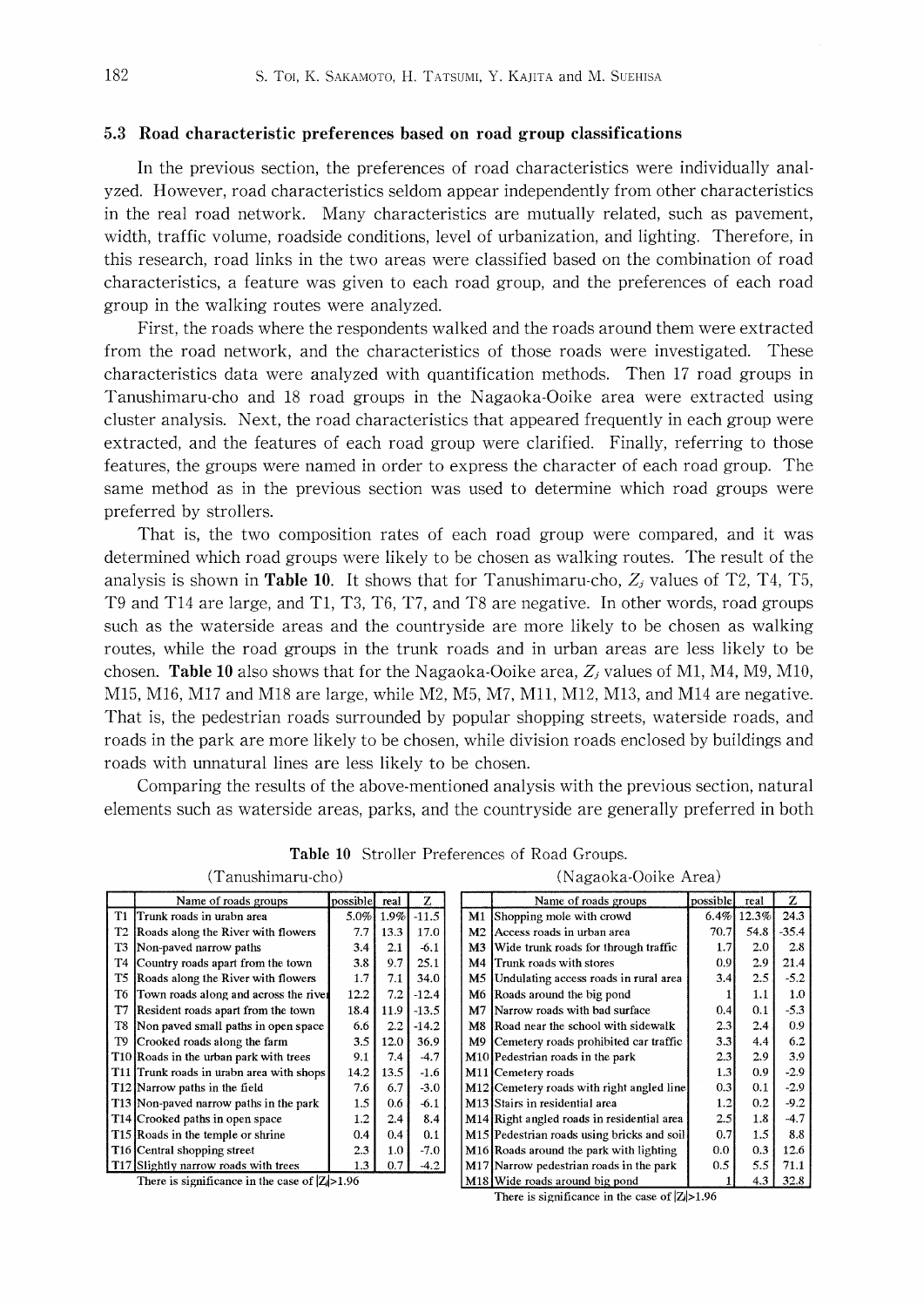#### 5.3 Road characteristic preferences based on road group classifications

In the previous section, the preferences of road characteristics were individually analyzed. However, road characteristics seldom appear independently from other characteristics in the real road network. Many characteristics are mutually related, such as pavement, width, traffic volume, roadside conditions, level of urbanization, and lighting. Therefore, in this research, road links in the two areas were classified based on the combination of road characteristics, a feature was given to each road group, and the preferences of each road group in the walking routes were analyzed.

First, the roads where the respondents walked and the roads around them were extracted from the road network, and the characteristics of those roads were investigated. These characteristics data were analyzed with quantification methods. Then 17 road groups in Tanushimaru-cho and 18 road groups in the Nagaoka-Ooike area were extracted using cluster analysis. Next, the road characteristics that appeared frequently in each group were extracted, and the features of each road group were clarified. Finally, referring to those features, the groups were named in order to express the character of each road group. The same method as in the previous section was used to determine which road groups were preferred by strollers.

That is, the two composition rates of each road group were compared, and it was determined which road groups were likely to be chosen as walking routes. The result of the analysis is shown in **Table 10**. It shows that for Tanushimaru-cho,  $Z_i$  values of T2, T4, T5, T9 and T14 are large, and T1, T3, T6, T7, and T8 are negative. In other words, road groups such as the waterside areas and the countryside are more likely to be chosen as walking routes, while the road groups in the trunk roads and in urban areas are less likely to be chosen. Table 10 also shows that for the Nagaoka-Ooike area,  $Z_i$  values of M1, M4, M9, M10, M15, M16, M17 and M18 are large, while M2, M5, M7, M11, M12, M13, and M14 are negative. That is, the pedestrian roads surrounded by popular shopping streets, waterside roads, and roads in the park are more likely to be chosen, while division roads enclosed by buildings and roads with unnatural lines are less likely to be chosen.

Comparing the results of the above-mentioned analysis with the previous section, natural elements such as waterside areas, parks, and the countryside are generally preferred in both

|                | Name of roads groups                              | possible | real    | z       |    | Name of roads groups                                | possible | real     |         |
|----------------|---------------------------------------------------|----------|---------|---------|----|-----------------------------------------------------|----------|----------|---------|
| T <sub>1</sub> | Trunk roads in urabn area                         | $5.0\%$  | $1.9\%$ | $-11.5$ |    | M1 Shopping mole with crowd                         | 6.4%     | $12.3\%$ | 24.3    |
| T2             | Roads along the River with flowers                | 7.7      | 13.3    | 17.0    | M2 | Access roads in urban area                          | 70.7     | 54.8     | $-35.4$ |
| T3             | Non-paved narrow paths                            | 3.4      | 2.1     | $-6.1$  | M3 | Wide trunk roads for through traffic                | 1.7      | 2.0      | 2.8     |
| T4             | Country roads apart from the town                 | 3.8      | 9.7     | 25.1    | M4 | <b>Trunk roads with stores</b>                      | 0.9      | 2.9      | 21.4    |
| T5             | Roads along the River with flowers                | 1.7      | 7.1     | 34.0    | M5 | Undulating access roads in rural area               | 3.4      | 2.5      | $-5.2$  |
| T <sub>6</sub> | Town roads along and across the river             | 12.2     | 7.2     | $-12.4$ |    | M6 Roads around the big pond                        |          | 1.1      | 1.0     |
| T7             | Resident roads apart from the town                | 18.4     | 11.9    | $-13.5$ |    | M7 Narrow roads with bad surface                    | 0.4      | 0.1      | $-5.3$  |
| T8             | Non paved small paths in open space               | 6.6      | 2.2     | $-14.2$ | M8 | Road near the school with sidewalk                  | 2.3      | 2.4      | 0.9     |
| T9             | Crooked roads along the farm                      | 3.5      | 12.0    | 36.9    |    | M9 Cemetery roads prohibited car traffic            | 3.3      | 4.4      | 6.2     |
|                | T10 Roads in the urban park with trees            | 9.1      | 7.4     | $-4.7$  |    | M10 Pedestrian roads in the park                    | 2.3      | 2.9      | 3.9     |
|                | T11 Trunk roads in urabn area with shops          | 14.2     | 13.5    | $-1.6$  |    | M11 Cemetery roads                                  | 1.3      | 0.9      | $-2.9$  |
|                | T12 Narrow paths in the field                     | 7.6      | 6.7     | $-3.0$  |    | M12 Cemetery roads with right angled line           | 0.3      | 0.1      | $-2.9$  |
|                | T13 Non-paved narrow paths in the park            | 1.5      | 0.6     | $-6.1$  |    | M13 Stairs in residential area                      | 1.2      | 0.2      | $-9.2$  |
|                | T <sub>14</sub> Crooked paths in open space       | 1.2      | 2.4     | 8.4     |    | M14 Right angled roads in residential area          | 2.5      | 1.8      | $-4.7$  |
|                | T15 Roads in the temple or shrine                 | 0.4      | 0.4     | 0.1     |    | M15 Pedestrian roads using bricks and soil          | 0.7      | 1.5      | 8.8     |
|                | T16 Central shopping street                       | 2.3      | 1.0     | $-7.0$  |    | M <sub>16</sub> Roads around the park with lighting | 0.0      | 0.3      | 12.6    |
|                | T <sub>17</sub> Slightly narrow roads with trees  | 1.3      | 0.7     | $-4.2$  |    | M17 Narrow pedestrian roads in the park             | 0.5      | 5.5      | 71.1    |
|                | There is significance in the case of $ Z  > 1.96$ |          |         |         |    | M18 Wide roads around big pond                      |          | 4.3      | 32.8    |

Table 10 Stroller Preferences of Road Groups.

| anushimaru-cho) |  |
|-----------------|--|
|                 |  |

(Tanushimaru-Cho) (Nagaoka-00ikeArea)

There is significance in the case of  $|Z| > 1.96$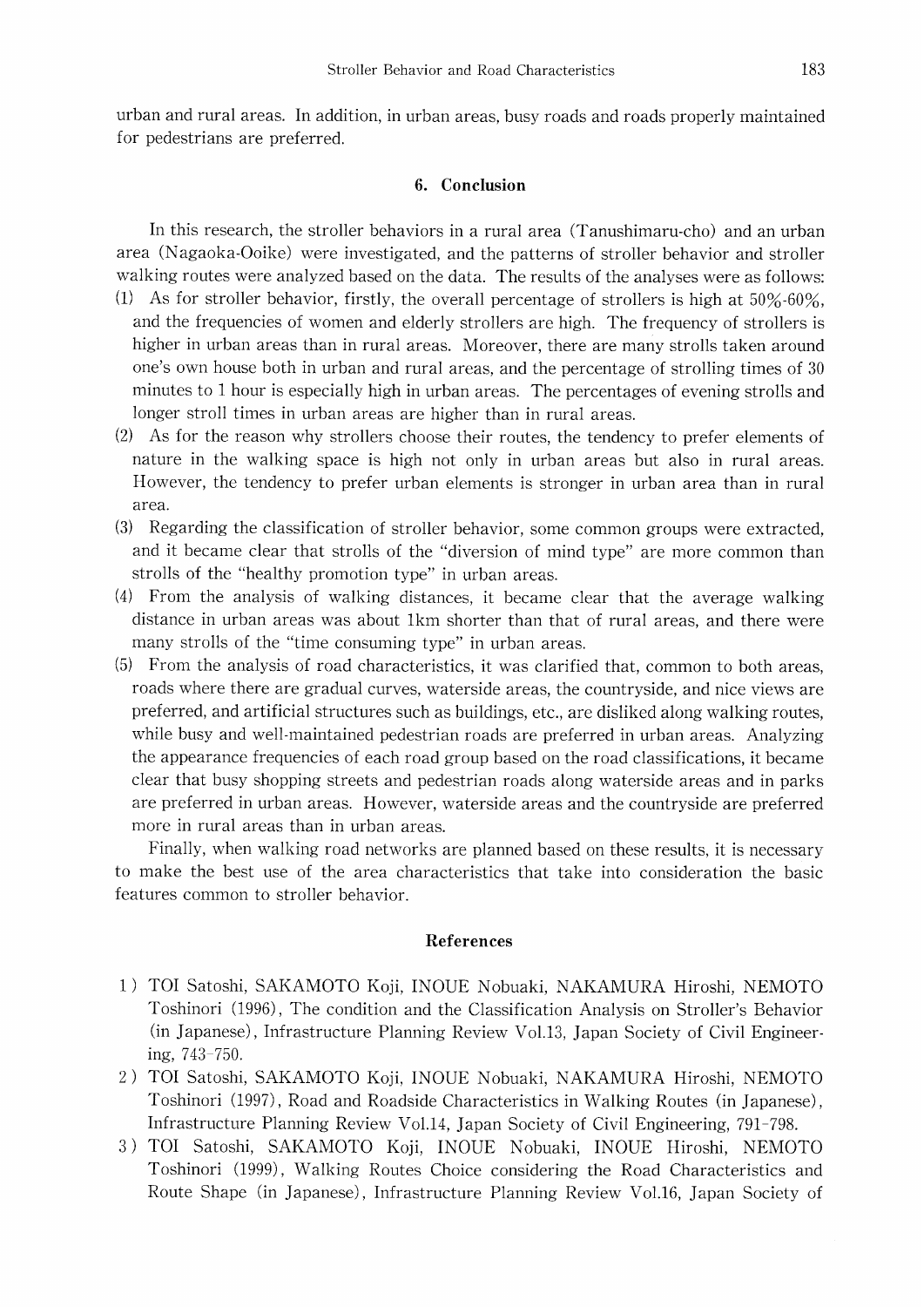urban and rural areas. In addition, in urban areas, busy roads and roads properly maintained for pedestrians are preferred.

#### 6.Conclusion

In this research, the stroller behaviors in a rural area (Tanushimaru-cho) and an urban area (Nagaoka-Ooike) were investigated, and the patterns of stroller behavior and stroller walking routes were analyzed based on the data. The results of the analyses were as follows:

- (1) As for stroller behavior, firstly, the overall percentage of strollers is high at  $50\%$ -60%, and the frequencies of women and elderly strollers are high. The frequency of strollers is higher in urban areas than in rural areas. Moreover, there are many strolls taken around one's own house both in urban and rural areas, and the percentage of strolling times of 30 minutes to 1 hour is especially high in urban areas. The percentages of evening strolls and longer stroll times in urban areas are higher than in rural areas.
- (2) As for the reason why strollers choose their routes, the tendency to prefer elements of nature in the walking space is high not only in urban areas but also in rural areas. However, the tendency to prefer urban elements is stronger in urban area than in rural area.
- (3) Regarding the classification of stroller behavior, some common groups were extracted, and it became clear that strolls of the "diversion of mind type" are more common than strolls of the "healthy promotion type" in urban areas.
- $(4)$  From the analysis of walking distances, it became clear that the average walking distance in urban areas was about 1km shorter than that of rural areas, and there were many strolls of the "time consuming type" in urban areas.
- $(5)$  From the analysis of road characteristics, it was clarified that, common to both areas, roads where there are gradual curves, waterside areas, the countryside, and nice views are preferred, and artificial structures such as buildings, etc., are disliked along walking routes, while busy and well-maintained pedestrian roads are preferred in urban areas. Analyzing the appearance frequencies of each road group based on the road classifications, it became clear that busy shopping streets and pedestrian roads along waterside areas and in parks are preferred in urban areas. However, waterside areas and the countryside are preferred more in rural areas than in urban areas.

Finally, when walking road networks are planned based on these results, it is necessary to make the best use of the area characteristics that take into consideration the basic features common to stroller behavior.

#### References

- 1) TOI Satoshi, SAKAMOTO Koji, INOUE Nobuaki, NAKAMURA Hiroshi, NEMOTO Toshinori (1996), The condition and the Classification Analysis on Stroller's Behavior (in Japanese), Infrastructure Planning Review Vol.13, Japan Society of Civil Engineering,  $743-750$ .
- 2) TOI Satoshi, SAKAMOTO Koji, INOUE Nobuaki, NAKAMURA Hiroshi, NEMOTO Toshinori (1997), Road and Roadside Characteristics in Walking Routes (in Japanese), Infrastructure Planning Review Vol.14, Japan Society of Civil Engineering, 791-798.
- 3) TOI Satoshi, SAKAMOTO Koji, INOUE Nobuaki, INOUE Hiroshi, NEMOTO Toshinori (1999), Walking Routes Choice considering the Road Characteristics and Route Shape (in Japanese), Infrastructure Planning Review Vol.16, Japan Society of